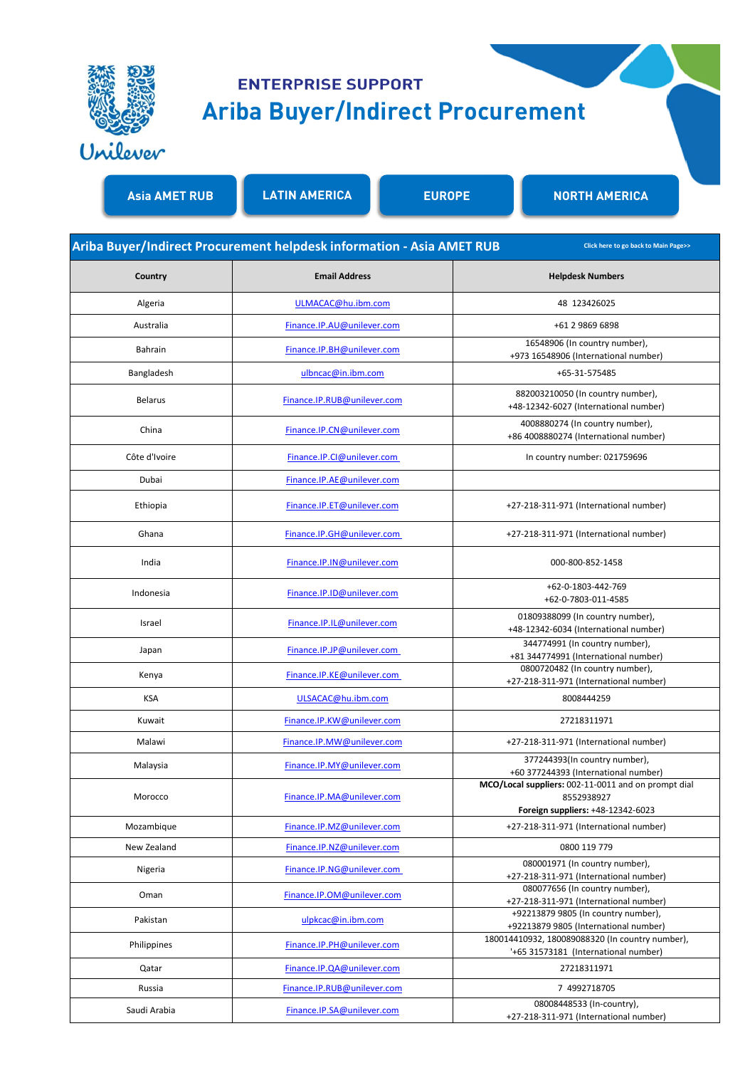

## **ENTERPRISE SUPPORT Ariba Buyer/Indirect Procurement**

**Asia AMET RUB LATIN AMERICA EUROPE NORTH AMERICA**

|                | Ariba Buyer/Indirect Procurement helpdesk information - Asia AMET RUB | Click here to go back to Main Page>>                                                                   |
|----------------|-----------------------------------------------------------------------|--------------------------------------------------------------------------------------------------------|
| Country        | <b>Email Address</b>                                                  | <b>Helpdesk Numbers</b>                                                                                |
| Algeria        | ULMACAC@hu.ibm.com                                                    | 48 123426025                                                                                           |
| Australia      | Finance.IP.AU@unilever.com                                            | +61 2 9869 6898                                                                                        |
| Bahrain        | Finance.IP.BH@unilever.com                                            | 16548906 (In country number),<br>+973 16548906 (International number)                                  |
| Bangladesh     | ulbncac@in.ibm.com                                                    | +65-31-575485                                                                                          |
| <b>Belarus</b> | Finance.IP.RUB@unilever.com                                           | 882003210050 (In country number),<br>+48-12342-6027 (International number)                             |
| China          | Finance.IP.CN@unilever.com                                            | 4008880274 (In country number),<br>+86 4008880274 (International number)                               |
| Côte d'Ivoire  | Finance.IP.Cl@unilever.com                                            | In country number: 021759696                                                                           |
| Dubai          | Finance.IP.AE@unilever.com                                            |                                                                                                        |
| Ethiopia       | Finance.IP.ET@unilever.com                                            | +27-218-311-971 (International number)                                                                 |
| Ghana          | Finance.IP.GH@unilever.com                                            | +27-218-311-971 (International number)                                                                 |
| India          | Finance.IP.IN@unilever.com                                            | 000-800-852-1458                                                                                       |
| Indonesia      | Finance.IP.ID@unilever.com                                            | +62-0-1803-442-769<br>+62-0-7803-011-4585                                                              |
| Israel         | Finance.IP.IL@unilever.com                                            | 01809388099 (In country number),<br>+48-12342-6034 (International number)                              |
| Japan          | Finance.IP.JP@unilever.com                                            | 344774991 (In country number),<br>+81 344774991 (International number)                                 |
| Kenya          | Finance.IP.KE@unilever.com                                            | 0800720482 (In country number),<br>+27-218-311-971 (International number)                              |
| <b>KSA</b>     | ULSACAC@hu.ibm.com                                                    | 8008444259                                                                                             |
| Kuwait         | Finance.IP.KW@unilever.com                                            | 27218311971                                                                                            |
| Malawi         | Finance.IP.MW@unilever.com                                            | +27-218-311-971 (International number)                                                                 |
| Malaysia       | Finance.IP.MY@unilever.com                                            | 377244393(In country number),<br>+60 377244393 (International number)                                  |
| Morocco        | Finance.IP.MA@unilever.com                                            | MCO/Local suppliers: 002-11-0011 and on prompt dial<br>8552938927<br>Foreign suppliers: +48-12342-6023 |
| Mozambique     | Finance.IP.MZ@unilever.com                                            | +27-218-311-971 (International number)                                                                 |
| New Zealand    | Finance.IP.NZ@unilever.com                                            | 0800 119 779                                                                                           |
| Nigeria        | Finance.IP.NG@unilever.com                                            | 080001971 (In country number),<br>+27-218-311-971 (International number)                               |
| Oman           | Finance.IP.OM@unilever.com                                            | 080077656 (In country number),                                                                         |
| Pakistan       | ulpkcac@in.ibm.com                                                    | +27-218-311-971 (International number)<br>+92213879 9805 (In country number),                          |
|                |                                                                       | +92213879 9805 (International number)<br>180014410932, 180089088320 (In country number),               |
| Philippines    | Finance.IP.PH@unilever.com                                            | '+65 31573181 (International number)                                                                   |
| Qatar          | Finance.IP.QA@unilever.com                                            | 27218311971                                                                                            |
| Russia         | Finance.IP.RUB@unilever.com                                           | 7 4992718705                                                                                           |
| Saudi Arabia   | Finance.IP.SA@unilever.com                                            | 08008448533 (In-country),<br>+27-218-311-971 (International number)                                    |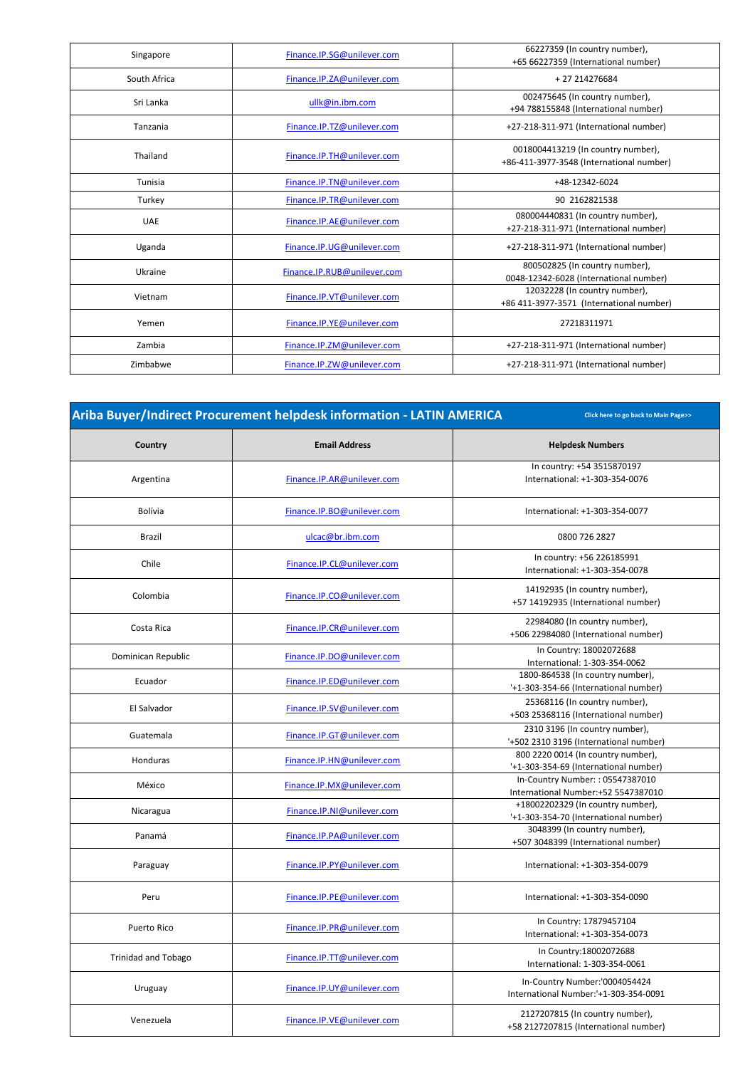| Singapore    | Finance.IP.SG@unilever.com  | 66227359 (In country number),            |
|--------------|-----------------------------|------------------------------------------|
|              |                             | +65 66227359 (International number)      |
| South Africa | Finance.IP.ZA@unilever.com  | +27214276684                             |
| Sri Lanka    | ullk@in.ibm.com             | 002475645 (In country number),           |
|              |                             | +94 788155848 (International number)     |
| Tanzania     | Finance.IP.TZ@unilever.com  | +27-218-311-971 (International number)   |
|              |                             | 0018004413219 (In country number),       |
| Thailand     | Finance.IP.TH@unilever.com  | +86-411-3977-3548 (International number) |
| Tunisia      | Finance.IP.TN@unilever.com  | +48-12342-6024                           |
| Turkey       | Finance.IP.TR@unilever.com  | 90 2162821538                            |
| <b>UAE</b>   | Finance.IP.AE@unilever.com  | 080004440831 (In country number),        |
|              |                             | +27-218-311-971 (International number)   |
| Uganda       | Finance.IP.UG@unilever.com  | +27-218-311-971 (International number)   |
| Ukraine      | Finance.IP.RUB@unilever.com | 800502825 (In country number),           |
|              |                             | 0048-12342-6028 (International number)   |
| Vietnam      | Finance.IP.VT@unilever.com  | 12032228 (In country number),            |
|              |                             | +86 411-3977-3571 (International number) |
| Yemen        | Finance.IP.YE@unilever.com  | 27218311971                              |
| Zambia       | Finance.IP.ZM@unilever.com  | +27-218-311-971 (International number)   |
| Zimbabwe     | Finance.IP.ZW@unilever.com  | +27-218-311-971 (International number)   |
|              |                             |                                          |

| Ariba Buyer/Indirect Procurement helpdesk information - LATIN AMERICA<br>Click here to go back to Main Page>> |                            |                                                                             |
|---------------------------------------------------------------------------------------------------------------|----------------------------|-----------------------------------------------------------------------------|
| Country                                                                                                       | <b>Email Address</b>       | <b>Helpdesk Numbers</b>                                                     |
| Argentina                                                                                                     | Finance.IP.AR@unilever.com | In country: +54 3515870197<br>International: +1-303-354-0076                |
| <b>Bolívia</b>                                                                                                | Finance.IP.BO@unilever.com | International: +1-303-354-0077                                              |
| Brazil                                                                                                        | ulcac@br.ibm.com           | 0800 726 2827                                                               |
| Chile                                                                                                         | Finance.IP.CL@unilever.com | In country: +56 226185991<br>International: +1-303-354-0078                 |
| Colombia                                                                                                      | Finance.IP.CO@unilever.com | 14192935 (In country number),<br>+57 14192935 (International number)        |
| Costa Rica                                                                                                    | Finance.IP.CR@unilever.com | 22984080 (In country number),<br>+506 22984080 (International number)       |
| Dominican Republic                                                                                            | Finance.IP.DO@unilever.com | In Country: 18002072688<br>International: 1-303-354-0062                    |
| Ecuador                                                                                                       | Finance.IP.ED@unilever.com | 1800-864538 (In country number),<br>'+1-303-354-66 (International number)   |
| El Salvador                                                                                                   | Finance.IP.SV@unilever.com | 25368116 (In country number),<br>+503 25368116 (International number)       |
| Guatemala                                                                                                     | Finance.IP.GT@unilever.com | 2310 3196 (In country number),<br>'+502 2310 3196 (International number)    |
| Honduras                                                                                                      | Finance.IP.HN@unilever.com | 800 2220 0014 (In country number),<br>'+1-303-354-69 (International number) |
| México                                                                                                        | Finance.IP.MX@unilever.com | In-Country Number:: 05547387010<br>International Number:+52 5547387010      |
| Nicaragua                                                                                                     | Finance.IP.NI@unilever.com | +18002202329 (In country number),<br>'+1-303-354-70 (International number)  |
| Panamá                                                                                                        | Finance.IP.PA@unilever.com | 3048399 (In country number),<br>+507 3048399 (International number)         |
| Paraguay                                                                                                      | Finance.IP.PY@unilever.com | International: +1-303-354-0079                                              |
| Peru                                                                                                          | Finance.IP.PE@unilever.com | International: +1-303-354-0090                                              |
| <b>Puerto Rico</b>                                                                                            | Finance.IP.PR@unilever.com | In Country: 17879457104<br>International: +1-303-354-0073                   |
| <b>Trinidad and Tobago</b>                                                                                    | Finance.IP.TT@unilever.com | In Country: 18002072688<br>International: 1-303-354-0061                    |
| Uruguay                                                                                                       | Finance.IP.UY@unilever.com | In-Country Number:'0004054424<br>International Number:'+1-303-354-0091      |
| Venezuela                                                                                                     | Finance.IP.VE@unilever.com | 2127207815 (In country number),<br>+58 2127207815 (International number)    |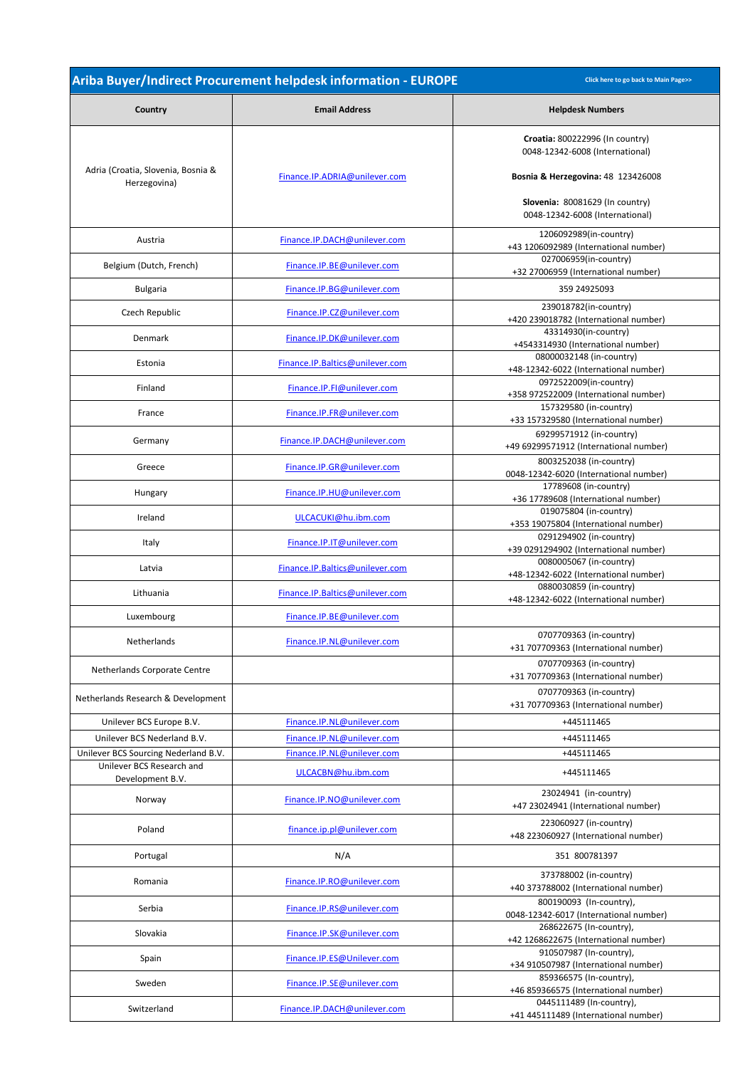|                                                    | Ariba Buyer/Indirect Procurement helpdesk information - EUROPE | Click here to go back to Main Page>>                               |
|----------------------------------------------------|----------------------------------------------------------------|--------------------------------------------------------------------|
| Country                                            | <b>Email Address</b>                                           | <b>Helpdesk Numbers</b>                                            |
|                                                    |                                                                | Croatia: 800222996 (In country)<br>0048-12342-6008 (International) |
| Adria (Croatia, Slovenia, Bosnia &<br>Herzegovina) | Finance.IP.ADRIA@unilever.com                                  | <b>Bosnia &amp; Herzegovina: 48 123426008</b>                      |
|                                                    |                                                                | Slovenia: 80081629 (In country)<br>0048-12342-6008 (International) |
| Austria                                            | Finance.IP.DACH@unilever.com                                   | 1206092989(in-country)<br>+43 1206092989 (International number)    |
| Belgium (Dutch, French)                            | Finance.IP.BE@unilever.com                                     | 027006959(in-country)<br>+32 27006959 (International number)       |
| <b>Bulgaria</b>                                    | Finance.IP.BG@unilever.com                                     | 359 24925093                                                       |
| Czech Republic                                     | Finance.IP.CZ@unilever.com                                     | 239018782(in-country)<br>+420 239018782 (International number)     |
| Denmark                                            | Finance.IP.DK@unilever.com                                     | 43314930(in-country)<br>+4543314930 (International number)         |
| Estonia                                            | Finance.IP.Baltics@unilever.com                                | 08000032148 (in-country)<br>+48-12342-6022 (International number)  |
| Finland                                            | Finance.IP.FI@unilever.com                                     | 0972522009(in-country)<br>+358 972522009 (International number)    |
| France                                             | Finance.IP.FR@unilever.com                                     | 157329580 (in-country)<br>+33 157329580 (International number)     |
| Germany                                            | Finance.IP.DACH@unilever.com                                   | 69299571912 (in-country)<br>+49 69299571912 (International number) |
| Greece                                             | Finance.IP.GR@unilever.com                                     | 8003252038 (in-country)                                            |
| Hungary                                            | Finance.IP.HU@unilever.com                                     | 0048-12342-6020 (International number)<br>17789608 (in-country)    |
| Ireland                                            | ULCACUKI@hu.ibm.com                                            | +36 17789608 (International number)<br>019075804 (in-country)      |
|                                                    | Finance.IP.IT@unilever.com                                     | +353 19075804 (International number)<br>0291294902 (in-country)    |
| Italy                                              |                                                                | +39 0291294902 (International number)<br>0080005067 (in-country)   |
| Latvia                                             | Finance.IP.Baltics@unilever.com                                | +48-12342-6022 (International number)<br>0880030859 (in-country)   |
| Lithuania                                          | Finance.IP.Baltics@unilever.com                                | +48-12342-6022 (International number)                              |
| Luxembourg                                         | Finance.IP.BE@unilever.com                                     |                                                                    |
| Netherlands                                        | Finance.IP.NL@unilever.com                                     | 0707709363 (in-country)<br>+31 707709363 (International number)    |
| Netherlands Corporate Centre                       |                                                                | 0707709363 (in-country)<br>+31 707709363 (International number)    |
| Netherlands Research & Development                 |                                                                | 0707709363 (in-country)<br>+31 707709363 (International number)    |
| Unilever BCS Europe B.V.                           | Finance.IP.NL@unilever.com                                     | +445111465                                                         |
| Unilever BCS Nederland B.V.                        | Finance.IP.NL@unilever.com                                     | +445111465                                                         |
| Unilever BCS Sourcing Nederland B.V.               | Finance.IP.NL@unilever.com                                     | +445111465                                                         |
| Unilever BCS Research and<br>Development B.V.      | ULCACBN@hu.ibm.com                                             | +445111465                                                         |
| Norway                                             | Finance.IP.NO@unilever.com                                     | 23024941 (in-country)<br>+47 23024941 (International number)       |
| Poland                                             | finance.ip.pl@unilever.com                                     | 223060927 (in-country)<br>+48 223060927 (International number)     |
| Portugal                                           | N/A                                                            | 351 800781397                                                      |
| Romania                                            | Finance.IP.RO@unilever.com                                     | 373788002 (in-country)<br>+40 373788002 (International number)     |
| Serbia                                             | Finance.IP.RS@unilever.com                                     | 800190093 (In-country),<br>0048-12342-6017 (International number)  |
| Slovakia                                           | Finance.IP.SK@unilever.com                                     | 268622675 (In-country),<br>+42 1268622675 (International number)   |
| Spain                                              | Finance.IP.ES@Unilever.com                                     | 910507987 (In-country),<br>+34 910507987 (International number)    |
| Sweden                                             | Finance.IP.SE@unilever.com                                     | 859366575 (In-country),<br>+46 859366575 (International number)    |
| Switzerland                                        | Finance.IP.DACH@unilever.com                                   | 0445111489 (In-country),<br>+41 445111489 (International number)   |